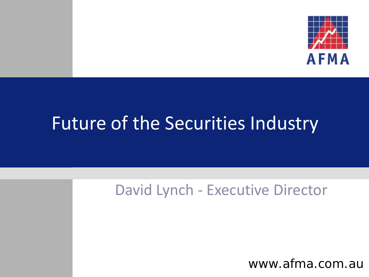

### Future of the Securities Industry

### David Lynch - Executive Director

www.afma.com.au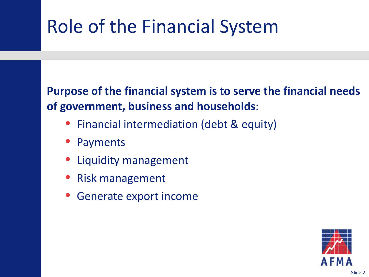## Role of the Financial System

**Purpose of the financial system is to serve the financial needs of government, business and households**:

- Financial intermediation (debt & equity)
- Payments
- Liquidity management
- Risk management
- Generate export income

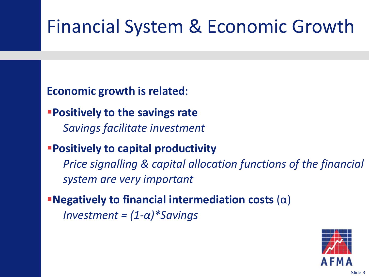## Financial System & Economic Growth

**Economic growth is related**:

**Positively to the savings rate** *Savings facilitate investment*

**Positively to capital productivity** 

*Price signalling & capital allocation functions of the financial system are very important*

**Negatively to financial intermediation costs** (α) *Investment = (1-α)\*Savings*

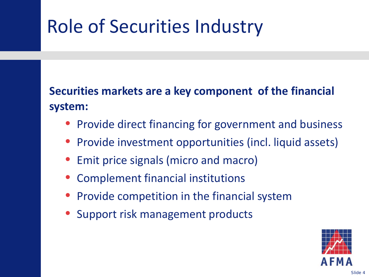## Role of Securities Industry

**Securities markets are a key component of the financial system:**

- Provide direct financing for government and business
- Provide investment opportunities (incl. liquid assets)
- Emit price signals (micro and macro)
- Complement financial institutions
- Provide competition in the financial system
- Support risk management products

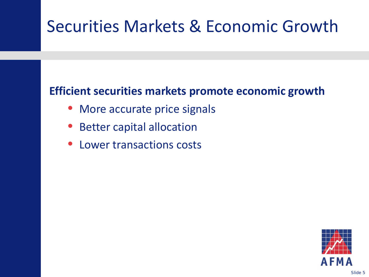### Securities Markets & Economic Growth

### **Efficient securities markets promote economic growth**

- More accurate price signals
- Better capital allocation
- Lower transactions costs

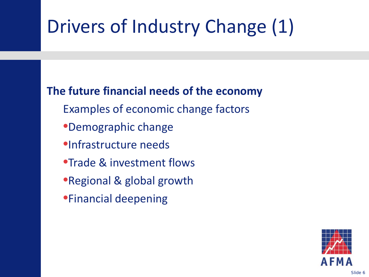## Drivers of Industry Change (1)

### **The future financial needs of the economy**

- Examples of economic change factors
- •Demographic change
- •Infrastructure needs
- •Trade & investment flows
- •Regional & global growth
- •Financial deepening

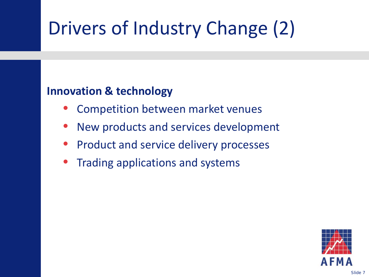# Drivers of Industry Change (2)

#### **Innovation & technology**

- Competition between market venues
- New products and services development
- Product and service delivery processes
- Trading applications and systems

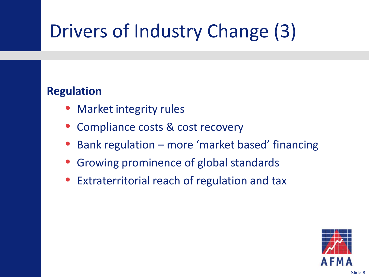# Drivers of Industry Change (3)

#### **Regulation**

- Market integrity rules
- Compliance costs & cost recovery
- Bank regulation more 'market based' financing
- Growing prominence of global standards
- Extraterritorial reach of regulation and tax